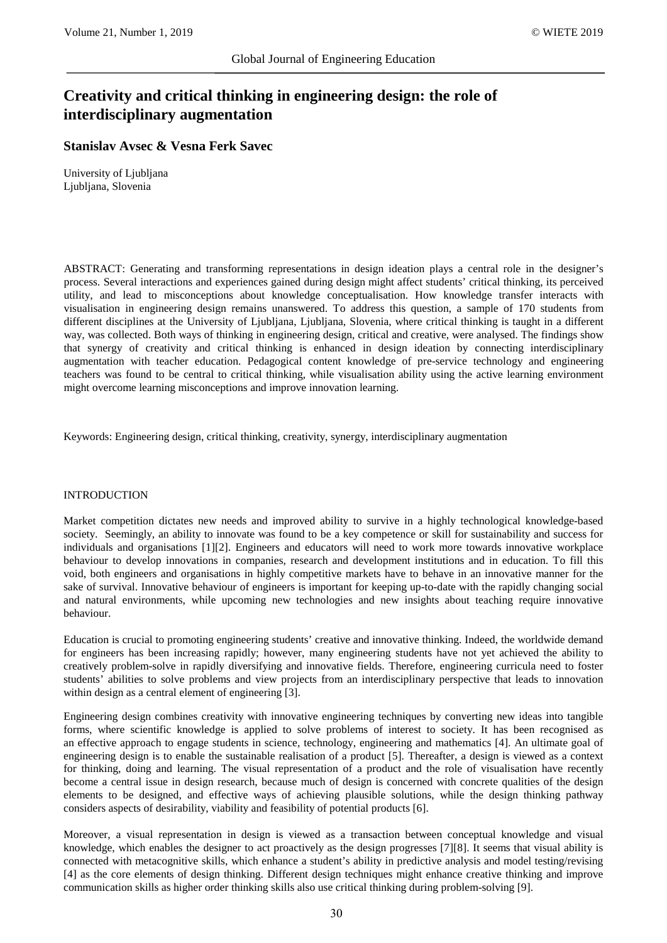# **Creativity and critical thinking in engineering design: the role of interdisciplinary augmentation**

## **Stanislav Avsec & Vesna Ferk Savec**

University of Ljubljana Ljubljana, Slovenia

ABSTRACT: Generating and transforming representations in design ideation plays a central role in the designer's process. Several interactions and experiences gained during design might affect students' critical thinking, its perceived utility, and lead to misconceptions about knowledge conceptualisation. How knowledge transfer interacts with visualisation in engineering design remains unanswered. To address this question, a sample of 170 students from different disciplines at the University of Ljubljana, Ljubljana, Slovenia, where critical thinking is taught in a different way, was collected. Both ways of thinking in engineering design, critical and creative, were analysed. The findings show that synergy of creativity and critical thinking is enhanced in design ideation by connecting interdisciplinary augmentation with teacher education. Pedagogical content knowledge of pre-service technology and engineering teachers was found to be central to critical thinking, while visualisation ability using the active learning environment might overcome learning misconceptions and improve innovation learning.

Keywords: Engineering design, critical thinking, creativity, synergy, interdisciplinary augmentation

#### INTRODUCTION

Market competition dictates new needs and improved ability to survive in a highly technological knowledge-based society. Seemingly, an ability to innovate was found to be a key competence or skill for sustainability and success for individuals and organisations [1][2]. Engineers and educators will need to work more towards innovative workplace behaviour to develop innovations in companies, research and development institutions and in education. To fill this void, both engineers and organisations in highly competitive markets have to behave in an innovative manner for the sake of survival. Innovative behaviour of engineers is important for keeping up-to-date with the rapidly changing social and natural environments, while upcoming new technologies and new insights about teaching require innovative behaviour.

Education is crucial to promoting engineering students' creative and innovative thinking. Indeed, the worldwide demand for engineers has been increasing rapidly; however, many engineering students have not yet achieved the ability to creatively problem-solve in rapidly diversifying and innovative fields. Therefore, engineering curricula need to foster students' abilities to solve problems and view projects from an interdisciplinary perspective that leads to innovation within design as a central element of engineering [3].

Engineering design combines creativity with innovative engineering techniques by converting new ideas into tangible forms, where scientific knowledge is applied to solve problems of interest to society. It has been recognised as an effective approach to engage students in science, technology, engineering and mathematics [4]. An ultimate goal of engineering design is to enable the sustainable realisation of a product [5]. Thereafter, a design is viewed as a context for thinking, doing and learning. The visual representation of a product and the role of visualisation have recently become a central issue in design research, because much of design is concerned with concrete qualities of the design elements to be designed, and effective ways of achieving plausible solutions, while the design thinking pathway considers aspects of desirability, viability and feasibility of potential products [6].

Moreover, a visual representation in design is viewed as a transaction between conceptual knowledge and visual knowledge, which enables the designer to act proactively as the design progresses [7][8]. It seems that visual ability is connected with metacognitive skills, which enhance a student's ability in predictive analysis and model testing/revising [4] as the core elements of design thinking. Different design techniques might enhance creative thinking and improve communication skills as higher order thinking skills also use critical thinking during problem-solving [9].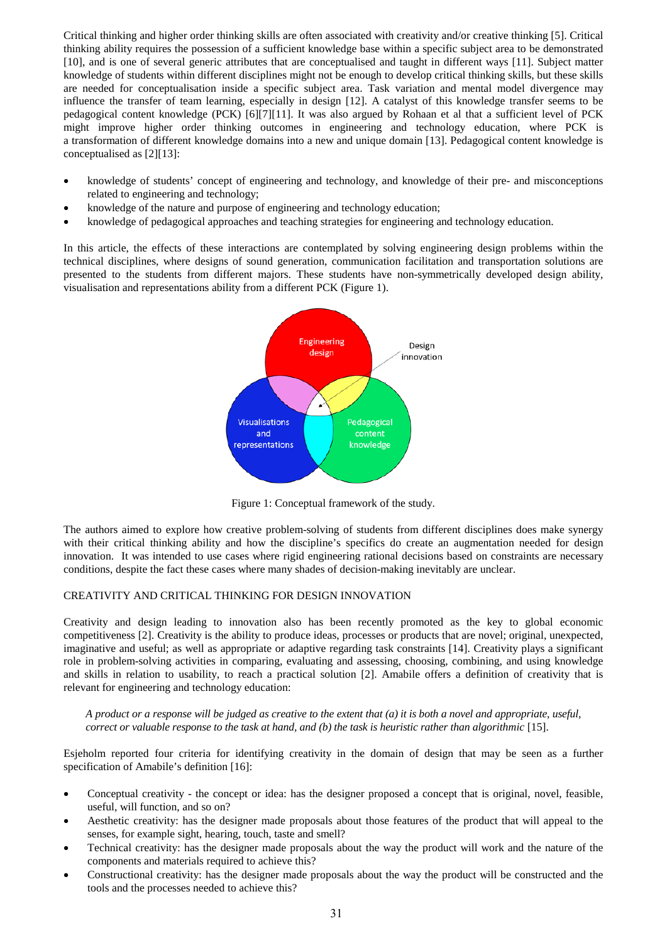Critical thinking and higher order thinking skills are often associated with creativity and/or creative thinking [5]. Critical thinking ability requires the possession of a sufficient knowledge base within a specific subject area to be demonstrated [10], and is one of several generic attributes that are conceptualised and taught in different ways [11]. Subject matter knowledge of students within different disciplines might not be enough to develop critical thinking skills, but these skills are needed for conceptualisation inside a specific subject area. Task variation and mental model divergence may influence the transfer of team learning, especially in design [12]. A catalyst of this knowledge transfer seems to be pedagogical content knowledge (PCK) [6][7][11]. It was also argued by Rohaan et al that a sufficient level of PCK might improve higher order thinking outcomes in engineering and technology education, where PCK is a transformation of different knowledge domains into a new and unique domain [13]. Pedagogical content knowledge is conceptualised as [2][13]:

- knowledge of students' concept of engineering and technology, and knowledge of their pre- and misconceptions related to engineering and technology;
- knowledge of the nature and purpose of engineering and technology education;
- knowledge of pedagogical approaches and teaching strategies for engineering and technology education.

In this article, the effects of these interactions are contemplated by solving engineering design problems within the technical disciplines, where designs of sound generation, communication facilitation and transportation solutions are presented to the students from different majors. These students have non-symmetrically developed design ability, visualisation and representations ability from a different PCK (Figure 1).



Figure 1: Conceptual framework of the study.

The authors aimed to explore how creative problem-solving of students from different disciplines does make synergy with their critical thinking ability and how the discipline's specifics do create an augmentation needed for design innovation. It was intended to use cases where rigid engineering rational decisions based on constraints are necessary conditions, despite the fact these cases where many shades of decision-making inevitably are unclear.

## CREATIVITY AND CRITICAL THINKING FOR DESIGN INNOVATION

Creativity and design leading to innovation also has been recently promoted as the key to global economic competitiveness [2]. Creativity is the ability to produce ideas, processes or products that are novel; original, unexpected, imaginative and useful; as well as appropriate or adaptive regarding task constraints [14]. Creativity plays a significant role in problem-solving activities in comparing, evaluating and assessing, choosing, combining, and using knowledge and skills in relation to usability, to reach a practical solution [2]. Amabile offers a definition of creativity that is relevant for engineering and technology education:

*A product or a response will be judged as creative to the extent that (a) it is both a novel and appropriate, useful, correct or valuable response to the task at hand, and (b) the task is heuristic rather than algorithmic* [15].

Esjeholm reported four criteria for identifying creativity in the domain of design that may be seen as a further specification of Amabile's definition [16]:

- Conceptual creativity the concept or idea: has the designer proposed a concept that is original, novel, feasible, useful, will function, and so on?
- Aesthetic creativity: has the designer made proposals about those features of the product that will appeal to the senses, for example sight, hearing, touch, taste and smell?
- Technical creativity: has the designer made proposals about the way the product will work and the nature of the components and materials required to achieve this?
- Constructional creativity: has the designer made proposals about the way the product will be constructed and the tools and the processes needed to achieve this?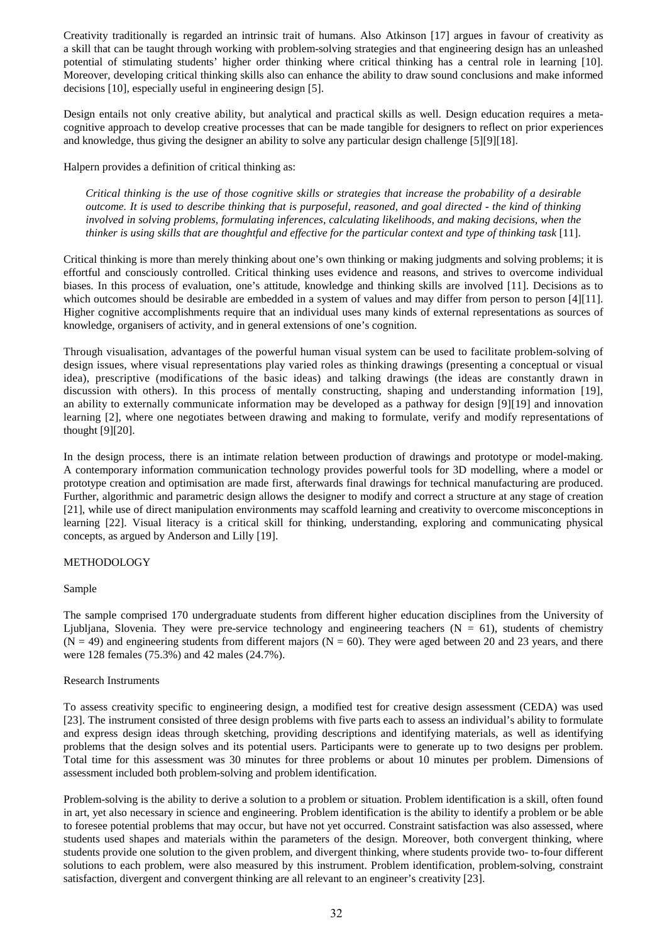Creativity traditionally is regarded an intrinsic trait of humans. Also Atkinson [17] argues in favour of creativity as a skill that can be taught through working with problem-solving strategies and that engineering design has an unleashed potential of stimulating students' higher order thinking where critical thinking has a central role in learning [10]. Moreover, developing critical thinking skills also can enhance the ability to draw sound conclusions and make informed decisions [10], especially useful in engineering design [5].

Design entails not only creative ability, but analytical and practical skills as well. Design education requires a metacognitive approach to develop creative processes that can be made tangible for designers to reflect on prior experiences and knowledge, thus giving the designer an ability to solve any particular design challenge [5][9][18].

Halpern provides a definition of critical thinking as:

*Critical thinking is the use of those cognitive skills or strategies that increase the probability of a desirable outcome. It is used to describe thinking that is purposeful, reasoned, and goal directed - the kind of thinking involved in solving problems, formulating inferences, calculating likelihoods, and making decisions, when the thinker is using skills that are thoughtful and effective for the particular context and type of thinking task* [11].

Critical thinking is more than merely thinking about one's own thinking or making judgments and solving problems; it is effortful and consciously controlled. Critical thinking uses evidence and reasons, and strives to overcome individual biases. In this process of evaluation, one's attitude, knowledge and thinking skills are involved [11]. Decisions as to which outcomes should be desirable are embedded in a system of values and may differ from person to person [4][11]. Higher cognitive accomplishments require that an individual uses many kinds of external representations as sources of knowledge, organisers of activity, and in general extensions of one's cognition.

Through visualisation, advantages of the powerful human visual system can be used to facilitate problem-solving of design issues, where visual representations play varied roles as thinking drawings (presenting a conceptual or visual idea), prescriptive (modifications of the basic ideas) and talking drawings (the ideas are constantly drawn in discussion with others). In this process of mentally constructing, shaping and understanding information [19], an ability to externally communicate information may be developed as a pathway for design [9][19] and innovation learning [2], where one negotiates between drawing and making to formulate, verify and modify representations of thought [9][20].

In the design process, there is an intimate relation between production of drawings and prototype or model-making. A contemporary information communication technology provides powerful tools for 3D modelling, where a model or prototype creation and optimisation are made first, afterwards final drawings for technical manufacturing are produced. Further, algorithmic and parametric design allows the designer to modify and correct a structure at any stage of creation [21], while use of direct manipulation environments may scaffold learning and creativity to overcome misconceptions in learning [22]. Visual literacy is a critical skill for thinking, understanding, exploring and communicating physical concepts, as argued by Anderson and Lilly [19].

## METHODOLOGY

#### Sample

The sample comprised 170 undergraduate students from different higher education disciplines from the University of Ljubljana, Slovenia. They were pre-service technology and engineering teachers  $(N = 61)$ , students of chemistry  $(N = 49)$  and engineering students from different majors  $(N = 60)$ . They were aged between 20 and 23 years, and there were 128 females (75.3%) and 42 males (24.7%).

## Research Instruments

To assess creativity specific to engineering design, a modified test for creative design assessment (CEDA) was used [23]. The instrument consisted of three design problems with five parts each to assess an individual's ability to formulate and express design ideas through sketching, providing descriptions and identifying materials, as well as identifying problems that the design solves and its potential users. Participants were to generate up to two designs per problem. Total time for this assessment was 30 minutes for three problems or about 10 minutes per problem. Dimensions of assessment included both problem-solving and problem identification.

Problem-solving is the ability to derive a solution to a problem or situation. Problem identification is a skill, often found in art, yet also necessary in science and engineering. Problem identification is the ability to identify a problem or be able to foresee potential problems that may occur, but have not yet occurred. Constraint satisfaction was also assessed, where students used shapes and materials within the parameters of the design. Moreover, both convergent thinking, where students provide one solution to the given problem, and divergent thinking, where students provide two- to-four different solutions to each problem, were also measured by this instrument. Problem identification, problem-solving, constraint satisfaction, divergent and convergent thinking are all relevant to an engineer's creativity [23].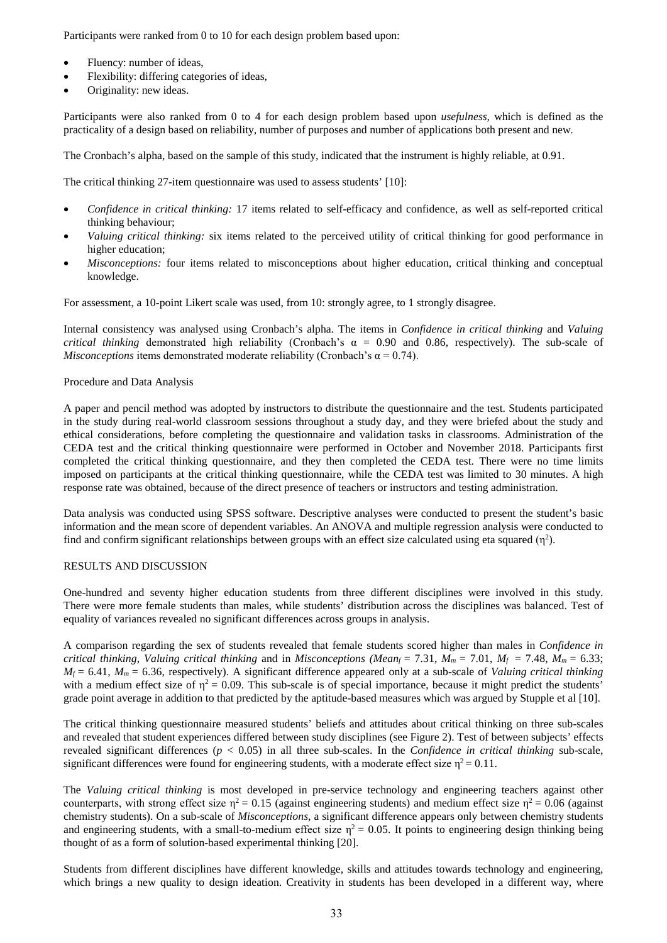Participants were ranked from 0 to 10 for each design problem based upon:

- Fluency: number of ideas,
- Flexibility: differing categories of ideas,
- Originality: new ideas.

Participants were also ranked from 0 to 4 for each design problem based upon *usefulness,* which is defined as the practicality of a design based on reliability, number of purposes and number of applications both present and new.

The Cronbach's alpha, based on the sample of this study, indicated that the instrument is highly reliable, at 0.91.

The critical thinking 27-item questionnaire was used to assess students' [10]:

- *Confidence in critical thinking:* 17 items related to self-efficacy and confidence, as well as self-reported critical thinking behaviour;
- *Valuing critical thinking:* six items related to the perceived utility of critical thinking for good performance in higher education;
- *Misconceptions:* four items related to misconceptions about higher education, critical thinking and conceptual knowledge.

For assessment, a 10-point Likert scale was used, from 10: strongly agree, to 1 strongly disagree.

Internal consistency was analysed using Cronbach's alpha. The items in *Confidence in critical thinking* and *Valuing critical thinking* demonstrated high reliability (Cronbach's  $\alpha = 0.90$  and 0.86, respectively). The sub-scale of *Misconceptions* items demonstrated moderate reliability (Cronbach's  $\alpha = 0.74$ ).

## Procedure and Data Analysis

A paper and pencil method was adopted by instructors to distribute the questionnaire and the test. Students participated in the study during real-world classroom sessions throughout a study day, and they were briefed about the study and ethical considerations, before completing the questionnaire and validation tasks in classrooms. Administration of the CEDA test and the critical thinking questionnaire were performed in October and November 2018. Participants first completed the critical thinking questionnaire, and they then completed the CEDA test. There were no time limits imposed on participants at the critical thinking questionnaire, while the CEDA test was limited to 30 minutes. A high response rate was obtained, because of the direct presence of teachers or instructors and testing administration.

Data analysis was conducted using SPSS software. Descriptive analyses were conducted to present the student's basic information and the mean score of dependent variables. An ANOVA and multiple regression analysis were conducted to find and confirm significant relationships between groups with an effect size calculated using eta squared  $(\eta^2)$ .

## RESULTS AND DISCUSSION

One-hundred and seventy higher education students from three different disciplines were involved in this study. There were more female students than males, while students' distribution across the disciplines was balanced. Test of equality of variances revealed no significant differences across groups in analysis.

A comparison regarding the sex of students revealed that female students scored higher than males in *Confidence in critical thinking, Valuing critical thinking and in <i>Misconceptions (Mean<sub>f</sub>* = 7.31,  $M_m$  = 7.01,  $M_f$  = 7.48,  $M_m$  = 6.33;  $M_f = 6.41$ ,  $M_m = 6.36$ , respectively). A significant difference appeared only at a sub-scale of *Valuing critical thinking* with a medium effect size of  $\eta^2 = 0.09$ . This sub-scale is of special importance, because it might predict the students' grade point average in addition to that predicted by the aptitude-based measures which was argued by Stupple et al [10].

The critical thinking questionnaire measured students' beliefs and attitudes about critical thinking on three sub-scales and revealed that student experiences differed between study disciplines (see Figure 2). Test of between subjects' effects revealed significant differences (*p* < 0.05) in all three sub-scales. In the *Confidence in critical thinking* sub-scale, significant differences were found for engineering students, with a moderate effect size  $\eta^2 = 0.11$ .

The *Valuing critical thinking* is most developed in pre-service technology and engineering teachers against other counterparts, with strong effect size  $\eta^2 = 0.15$  (against engineering students) and medium effect size  $\eta^2 = 0.06$  (against chemistry students). On a sub-scale of *Misconceptions*, a significant difference appears only between chemistry students and engineering students, with a small-to-medium effect size  $\eta^2 = 0.05$ . It points to engineering design thinking being thought of as a form of solution-based experimental thinking [20].

Students from different disciplines have different knowledge, skills and attitudes towards technology and engineering, which brings a new quality to design ideation. Creativity in students has been developed in a different way, where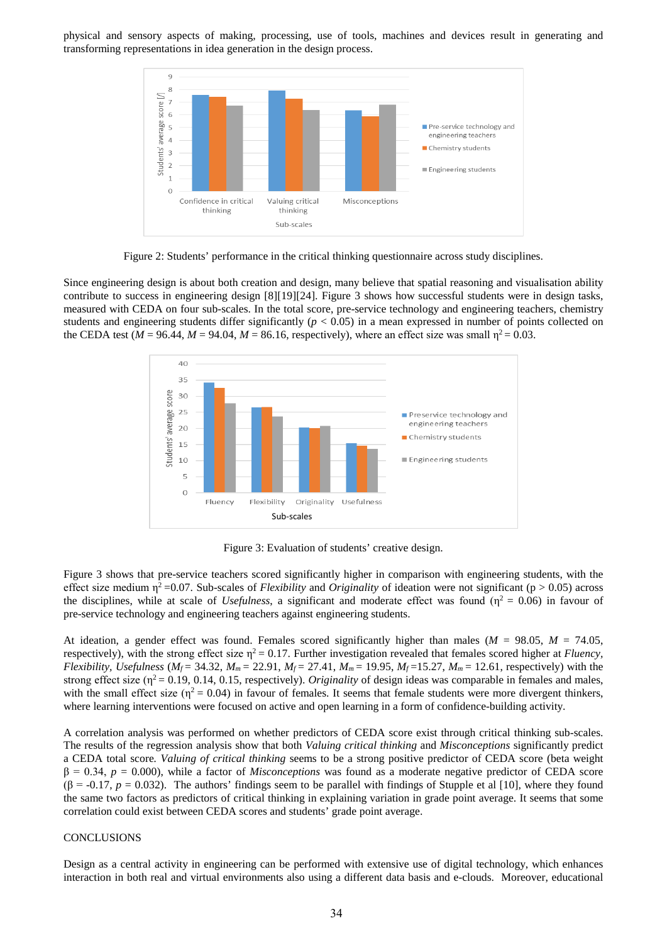physical and sensory aspects of making, processing, use of tools, machines and devices result in generating and transforming representations in idea generation in the design process.



Figure 2: Students' performance in the critical thinking questionnaire across study disciplines.

Since engineering design is about both creation and design, many believe that spatial reasoning and visualisation ability contribute to success in engineering design [8][19][24]. Figure 3 shows how successful students were in design tasks, measured with CEDA on four sub-scales. In the total score, pre-service technology and engineering teachers, chemistry students and engineering students differ significantly  $(p < 0.05)$  in a mean expressed in number of points collected on the CEDA test ( $M = 96.44$ ,  $M = 94.04$ ,  $M = 86.16$ , respectively), where an effect size was small  $\eta^2 = 0.03$ .



Figure 3: Evaluation of students' creative design.

Figure 3 shows that pre-service teachers scored significantly higher in comparison with engineering students, with the effect size medium  $\eta^2$ =0.07. Sub-scales of *Flexibility* and *Originality* of ideation were not significant (p > 0.05) across the disciplines, while at scale of *Usefulness*, a significant and moderate effect was found ( $\eta^2 = 0.06$ ) in favour of pre-service technology and engineering teachers against engineering students.

At ideation, a gender effect was found. Females scored significantly higher than males (*M* = 98.05, *M* = 74.05, respectively), with the strong effect size  $\eta^2 = 0.17$ . Further investigation revealed that females scored higher at *Fluency*, *Flexibility, Usefulness* ( $M_f$  = 34.32,  $M_m$  = 22.91,  $M_f$  = 27.41,  $M_m$  = 19.95,  $M_f$  =15.27,  $M_m$  = 12.61, respectively) with the strong effect size ( $\eta^2$  = 0.19, 0.14, 0.15, respectively). *Originality* of design ideas was comparable in females and males, with the small effect size ( $\eta^2 = 0.04$ ) in favour of females. It seems that female students were more divergent thinkers, where learning interventions were focused on active and open learning in a form of confidence-building activity.

A correlation analysis was performed on whether predictors of CEDA score exist through critical thinking sub-scales. The results of the regression analysis show that both *Valuing critical thinking* and *Misconceptions* significantly predict a CEDA total score*. Valuing of critical thinking* seems to be a strong positive predictor of CEDA score (beta weight β = 0.34, *p* = 0.000), while a factor of *Misconceptions* was found as a moderate negative predictor of CEDA score  $(\beta = -0.17, p = 0.032)$ . The authors' findings seem to be parallel with findings of Stupple et al [10], where they found the same two factors as predictors of critical thinking in explaining variation in grade point average. It seems that some correlation could exist between CEDA scores and students' grade point average.

#### **CONCLUSIONS**

Design as a central activity in engineering can be performed with extensive use of digital technology, which enhances interaction in both real and virtual environments also using a different data basis and e-clouds. Moreover, educational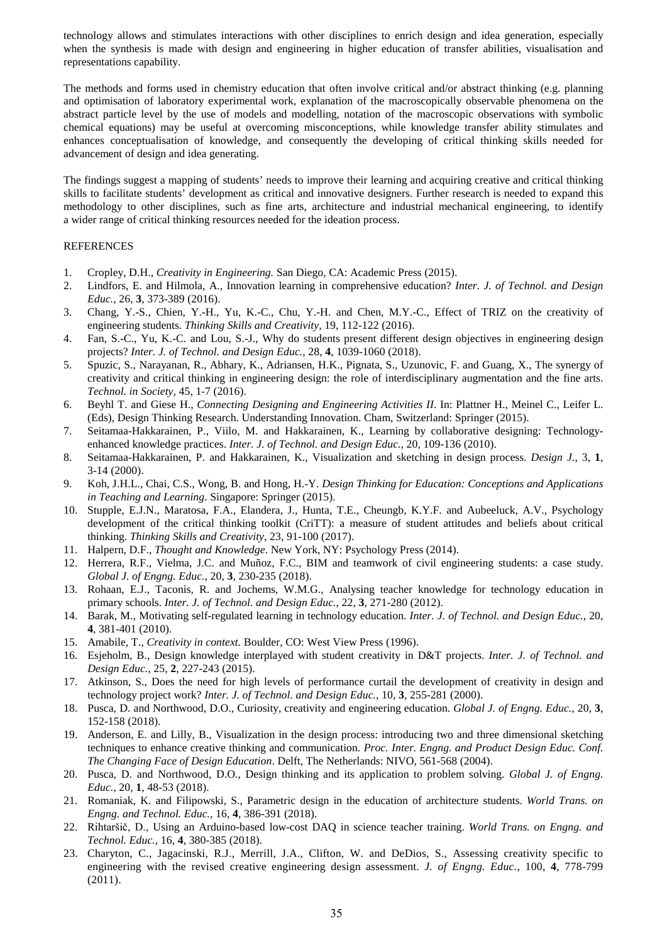technology allows and stimulates interactions with other disciplines to enrich design and idea generation, especially when the synthesis is made with design and engineering in higher education of transfer abilities, visualisation and representations capability.

The methods and forms used in chemistry education that often involve critical and/or abstract thinking (e.g. planning and optimisation of laboratory experimental work, explanation of the macroscopically observable phenomena on the abstract particle level by the use of models and modelling, notation of the macroscopic observations with symbolic chemical equations) may be useful at overcoming misconceptions, while knowledge transfer ability stimulates and enhances conceptualisation of knowledge, and consequently the developing of critical thinking skills needed for advancement of design and idea generating.

The findings suggest a mapping of students' needs to improve their learning and acquiring creative and critical thinking skills to facilitate students' development as critical and innovative designers. Further research is needed to expand this methodology to other disciplines, such as fine arts, architecture and industrial mechanical engineering, to identify a wider range of critical thinking resources needed for the ideation process.

## REFERENCES

- 1. Cropley, D.H., *Creativity in Engineering.* San Diego*,* CA: Academic Press (2015).
- 2. Lindfors, E. and Hilmola, A., Innovation learning in comprehensive education? *Inter. J. of Technol. and Design Educ.,* 26, **3***,* 373-389 (2016).
- 3. Chang, Y.-S., Chien, Y.-H., Yu, K.-C., Chu, Y.-H. and Chen, M.Y.-C., Effect of TRIZ on the creativity of engineering students. *Thinking Skills and Creativity,* 19, 112-122 (2016).
- 4. Fan, S.-C., Yu, K.-C. and Lou, S.-J., Why do students present different design objectives in engineering design projects? *Inter. J. of Technol. and Design Educ.,* 28, **4**, 1039-1060 (2018).
- 5. Spuzic, S., Narayanan, R., Abhary, K., Adriansen, H.K., Pignata, S., Uzunovic, F. and Guang, X., The synergy of creativity and critical thinking in engineering design: the role of interdisciplinary augmentation and the fine arts. *Technol. in Society*, 45, 1-7 (2016).
- 6. Beyhl T. and Giese H., *Connecting Designing and Engineering Activities II*. In: Plattner H., Meinel C., Leifer L. (Eds), Design Thinking Research. Understanding Innovation. Cham, Switzerland: Springer (2015).
- 7. Seitamaa-Hakkarainen, P., Viilo, M. and Hakkarainen, K., Learning by collaborative designing: Technologyenhanced knowledge practices. *Inter. J. of Technol. and Design Educ.,* 20*,* 109-136 (2010).
- 8. Seitamaa-Hakkarainen, P. and Hakkarainen, K., Visualization and sketching in design process. *Design J.*, 3, **1**, 3-14 (2000).
- 9. Koh, J.H.L., Chai, C.S., Wong, B. and Hong, H.-Y. *Design Thinking for Education: Conceptions and Applications in Teaching and Learning*. Singapore: Springer (2015).
- 10. Stupple, E.J.N., Maratosa, F.A., Elandera, J., Hunta, T.E., Cheungb, K.Y.F. and Aubeeluck, A.V., Psychology development of the critical thinking toolkit (CriTT): a measure of student attitudes and beliefs about critical thinking. *Thinking Skills and Creativity*, 23, 91-100 (2017).
- 11. Halpern, D.F., *Thought and Knowledge*. New York, NY: Psychology Press (2014).
- 12. Herrera, R.F., Vielma, J.C. and Muñoz, F.C., BIM and teamwork of civil engineering students: a case study. *Global J. of Engng. Educ.*, 20, **3**, 230-235 (2018).
- 13. Rohaan, E.J., Taconis, R. and Jochems, W.M.G., Analysing teacher knowledge for technology education in primary schools. *Inter. J. of Technol. and Design Educ.*, 22, **3**, 271-280 (2012).
- 14. Barak, M., Motivating self-regulated learning in technology education. *Inter. J. of Technol. and Design Educ.*, 20, **4**, 381-401 (2010).
- 15. Amabile, T., *Creativity in context.* Boulder, CO: West View Press (1996).
- 16. Esjeholm, B., Design knowledge interplayed with student creativity in D&T projects. *Inter. J. of Technol. and Design Educ.*, 25, **2**, 227-243 (2015).
- 17. Atkinson, S., Does the need for high levels of performance curtail the development of creativity in design and technology project work? *Inter. J. of Technol. and Design Educ.*, 10, **3**, 255-281 (2000).
- 18. Pusca, D. and Northwood, D.O., Curiosity, creativity and engineering education. *Global J. of Engng. Educ.*, 20, **3**, 152-158 (2018).
- 19. Anderson, E. and Lilly, B., Visualization in the design process: introducing two and three dimensional sketching techniques to enhance creative thinking and communication. *Proc. Inter. Engng. and Product Design Educ. Conf. The Changing Face of Design Education*. Delft, The Netherlands: NIVO, 561-568 (2004).
- 20. Pusca, D. and Northwood, D.O., Design thinking and its application to problem solving. *Global J. of Engng. Educ.*, 20, **1**, 48-53 (2018).
- 21. Romaniak, K. and Filipowski, S., Parametric design in the education of architecture students. *World Trans. on Engng. and Technol. Educ.,* 16, **4**, 386-391 (2018).
- 22. Rihtaršič, D., Using an Arduino-based low-cost DAQ in science teacher training. *World Trans. on Engng. and Technol. Educ.,* 16, **4**, 380-385 (2018).
- 23. Charyton, C., Jagacinski, R.J., Merrill, J.A., Clifton, W. and DeDios, S., Assessing creativity specific to engineering with the revised creative engineering design assessment. *J. of Engng. Educ.*, 100, **4**, 778-799 (2011).